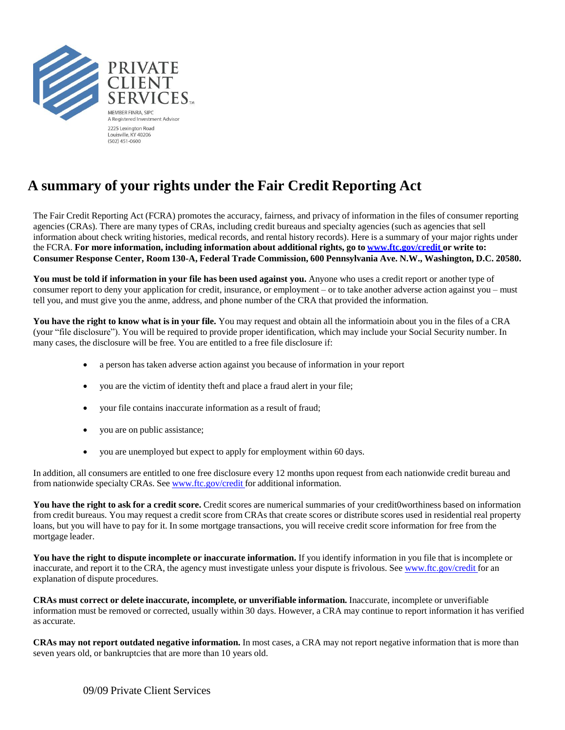

## **A summary of your rights under the Fair Credit Reporting Act**

The Fair Credit Reporting Act (FCRA) promotes the accuracy, fairness, and privacy of information in the files of consumer reporting agencies (CRAs). There are many types of CRAs, including credit bureaus and specialty agencies (such as agencies that sell information about check writing histories, medical records, and rental history records). Here is a summary of your major rights under the FCRA. **For more information, including information about additional rights, go to [www.ftc.gov/credit](http://www.ftc.gov/credit) or write to: Consumer Response Center, Room 130-A, Federal Trade Commission, 600 Pennsylvania Ave. N.W., Washington, D.C. 20580.**

**You must be told if information in your file has been used against you.** Anyone who uses a credit report or another type of consumer report to deny your application for credit, insurance, or employment – or to take another adverse action against you – must tell you, and must give you the anme, address, and phone number of the CRA that provided the information.

**You have the right to know what is in your file.** You may request and obtain all the informatioin about you in the files of a CRA (your "file disclosure"). You will be required to provide proper identification, which may include your Social Security number. In many cases, the disclosure will be free. You are entitled to a free file disclosure if:

- a person has taken adverse action against you because of information in your report
- you are the victim of identity theft and place a fraud alert in your file;
- your file contains inaccurate information as a result of fraud;
- you are on public assistance;
- you are unemployed but expect to apply for employment within 60 days.

In addition, all consumers are entitled to one free disclosure every 12 months upon request from each nationwide credit bureau and from nationwide specialty CRAs. See [www.ftc.gov/credit](http://www.ftc.gov/credit) for additional information.

**You have the right to ask for a credit score.** Credit scores are numerical summaries of your credit0worthiness based on information from credit bureaus. You may request a credit score from CRAs that create scores or distribute scores used in residential real property loans, but you will have to pay for it. In some mortgage transactions, you will receive credit score information for free from the mortgage leader.

**You have the right to dispute incomplete or inaccurate information.** If you identify information in you file that is incomplete or inaccurate, and report it to the CRA, the agency must investigate unless your dispute is frivolous. See [www.ftc.gov/credit](http://www.ftc.gov/credit) for an explanation of dispute procedures.

**CRAs must correct or delete inaccurate, incomplete, or unverifiable information.** Inaccurate, incomplete or unverifiable information must be removed or corrected, usually within 30 days. However, a CRA may continue to report information it has verified as accurate.

**CRAs may not report outdated negative information.** In most cases, a CRA may not report negative information that is more than seven years old, or bankruptcies that are more than 10 years old.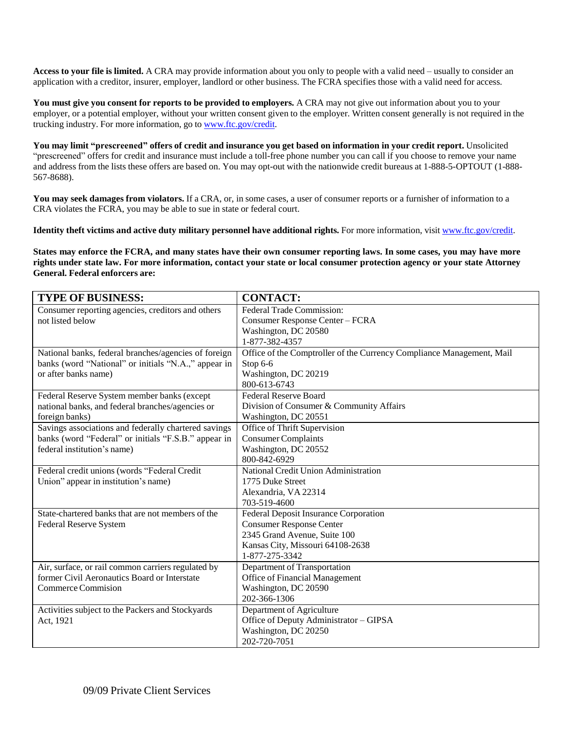**Access to your file is limited.** A CRA may provide information about you only to people with a valid need – usually to consider an application with a creditor, insurer, employer, landlord or other business. The FCRA specifies those with a valid need for access.

**You must give you consent for reports to be provided to employers.** A CRA may not give out information about you to your employer, or a potential employer, without your written consent given to the employer. Written consent generally is not required in the trucking industry. For more information, go to [www.ftc.gov/credit.](http://www.ftc.gov/credit)

You may limit "prescreened" offers of credit and insurance you get based on information in your credit report. Unsolicited "prescreened" offers for credit and insurance must include a toll-free phone number you can call if you choose to remove your name and address from the lists these offers are based on. You may opt-out with the nationwide credit bureaus at 1-888-5-OPTOUT (1-888- 567-8688).

**You may seek damages from violators.** If a CRA, or, in some cases, a user of consumer reports or a furnisher of information to a CRA violates the FCRA, you may be able to sue in state or federal court.

**Identity theft victims and active duty military personnel have additional rights.** For more information, visit [www.ftc.gov/credit.](http://www.ftc.gov/credit)

States may enforce the FCRA, and many states have their own consumer reporting laws. In some cases, you may have more rights under state law. For more information, contact your state or local consumer protection agency or your state Attorney **General. Federal enforcers are:**

| <b>TYPE OF BUSINESS:</b>                             | <b>CONTACT:</b>                                                       |  |  |  |  |
|------------------------------------------------------|-----------------------------------------------------------------------|--|--|--|--|
| Consumer reporting agencies, creditors and others    | Federal Trade Commission:                                             |  |  |  |  |
| not listed below                                     | Consumer Response Center - FCRA                                       |  |  |  |  |
|                                                      | Washington, DC 20580                                                  |  |  |  |  |
|                                                      | 1-877-382-4357                                                        |  |  |  |  |
| National banks, federal branches/agencies of foreign | Office of the Comptroller of the Currency Compliance Management, Mail |  |  |  |  |
| banks (word "National" or initials "N.A.," appear in | Stop 6-6                                                              |  |  |  |  |
| or after banks name)                                 | Washington, DC 20219                                                  |  |  |  |  |
|                                                      | 800-613-6743                                                          |  |  |  |  |
| Federal Reserve System member banks (except          | <b>Federal Reserve Board</b>                                          |  |  |  |  |
| national banks, and federal branches/agencies or     | Division of Consumer & Community Affairs                              |  |  |  |  |
| foreign banks)                                       | Washington, DC 20551                                                  |  |  |  |  |
| Savings associations and federally chartered savings | Office of Thrift Supervision                                          |  |  |  |  |
| banks (word "Federal" or initials "F.S.B." appear in | <b>Consumer Complaints</b>                                            |  |  |  |  |
| federal institution's name)                          | Washington, DC 20552                                                  |  |  |  |  |
|                                                      | 800-842-6929                                                          |  |  |  |  |
| Federal credit unions (words "Federal Credit         | National Credit Union Administration                                  |  |  |  |  |
| Union" appear in institution's name)                 | 1775 Duke Street                                                      |  |  |  |  |
|                                                      | Alexandria, VA 22314                                                  |  |  |  |  |
|                                                      | 703-519-4600                                                          |  |  |  |  |
| State-chartered banks that are not members of the    | <b>Federal Deposit Insurance Corporation</b>                          |  |  |  |  |
| Federal Reserve System                               | <b>Consumer Response Center</b>                                       |  |  |  |  |
|                                                      | 2345 Grand Avenue, Suite 100                                          |  |  |  |  |
|                                                      | Kansas City, Missouri 64108-2638                                      |  |  |  |  |
|                                                      | 1-877-275-3342                                                        |  |  |  |  |
| Air, surface, or rail common carriers regulated by   | Department of Transportation                                          |  |  |  |  |
| former Civil Aeronautics Board or Interstate         | Office of Financial Management                                        |  |  |  |  |
| <b>Commerce Commision</b>                            | Washington, DC 20590                                                  |  |  |  |  |
|                                                      | 202-366-1306                                                          |  |  |  |  |
| Activities subject to the Packers and Stockyards     | Department of Agriculture                                             |  |  |  |  |
| Act, 1921                                            | Office of Deputy Administrator - GIPSA                                |  |  |  |  |
|                                                      | Washington, DC 20250                                                  |  |  |  |  |
|                                                      | 202-720-7051                                                          |  |  |  |  |